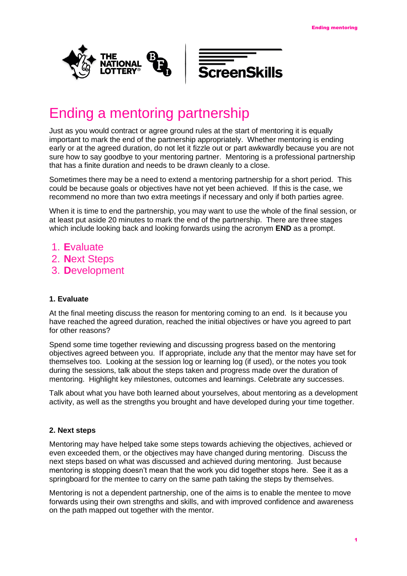



## Ending a mentoring partnership

Just as you would contract or agree ground rules at the start of mentoring it is equally important to mark the end of the partnership appropriately. Whether mentoring is ending early or at the agreed duration, do not let it fizzle out or part awkwardly because you are not sure how to say goodbye to your mentoring partner. Mentoring is a professional partnership that has a finite duration and needs to be drawn cleanly to a close.

Sometimes there may be a need to extend a mentoring partnership for a short period. This could be because goals or objectives have not yet been achieved. If this is the case, we recommend no more than two extra meetings if necessary and only if both parties agree.

When it is time to end the partnership, you may want to use the whole of the final session, or at least put aside 20 minutes to mark the end of the partnership. There are three stages which include looking back and looking forwards using the acronym **END** as a prompt.

- 1. **E**valuate
- 2. **N**ext Steps
- 3. **D**evelopment

## **1. Evaluate**

At the final meeting discuss the reason for mentoring coming to an end. Is it because you have reached the agreed duration, reached the initial objectives or have you agreed to part for other reasons?

Spend some time together reviewing and discussing progress based on the mentoring objectives agreed between you. If appropriate, include any that the mentor may have set for themselves too. Looking at the session log or learning log (if used), or the notes you took during the sessions, talk about the steps taken and progress made over the duration of mentoring. Highlight key milestones, outcomes and learnings. Celebrate any successes.

Talk about what you have both learned about yourselves, about mentoring as a development activity, as well as the strengths you brought and have developed during your time together.

## **2. Next steps**

Mentoring may have helped take some steps towards achieving the objectives, achieved or even exceeded them, or the objectives may have changed during mentoring. Discuss the next steps based on what was discussed and achieved during mentoring. Just because mentoring is stopping doesn't mean that the work you did together stops here. See it as a springboard for the mentee to carry on the same path taking the steps by themselves.

Mentoring is not a dependent partnership, one of the aims is to enable the mentee to move forwards using their own strengths and skills, and with improved confidence and awareness on the path mapped out together with the mentor.